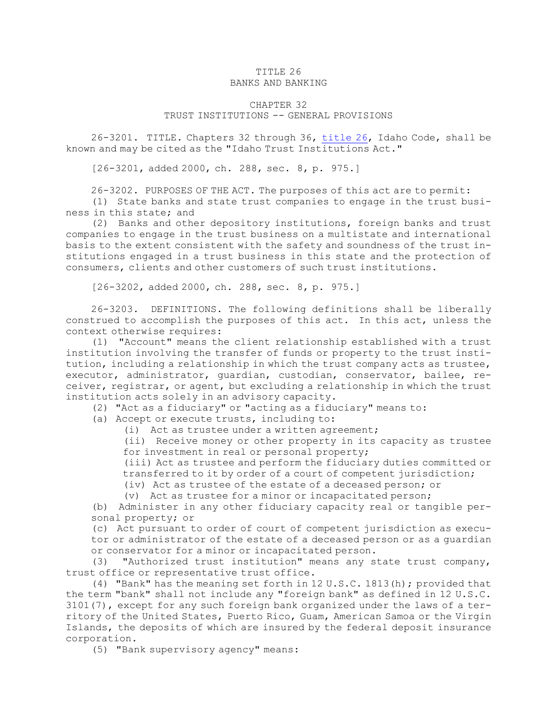# TITLE 26

## BANKS AND BANKING

## CHAPTER 32

## TRUST INSTITUTIONS -- GENERAL PROVISIONS

26-3201. TITLE. Chapters 32 through 36, [title](https://legislature.idaho.gov/statutesrules/idstat/Title26/T26) 26, Idaho Code, shall be known and may be cited as the "Idaho Trust Institutions Act."

[26-3201, added 2000, ch. 288, sec. 8, p. 975.]

26-3202. PURPOSES OF THE ACT. The purposes of this act are to permit:

(1) State banks and state trust companies to engage in the trust business in this state; and

(2) Banks and other depository institutions, foreign banks and trust companies to engage in the trust business on <sup>a</sup> multistate and international basis to the extent consistent with the safety and soundness of the trust institutions engaged in <sup>a</sup> trust business in this state and the protection of consumers, clients and other customers of such trust institutions.

[26-3202, added 2000, ch. 288, sec. 8, p. 975.]

26-3203. DEFINITIONS. The following definitions shall be liberally construed to accomplish the purposes of this act. In this act, unless the context otherwise requires:

(1) "Account" means the client relationship established with <sup>a</sup> trust institution involving the transfer of funds or property to the trust institution, including <sup>a</sup> relationship in which the trust company acts as trustee, executor, administrator, guardian, custodian, conservator, bailee, receiver, registrar, or agent, but excluding <sup>a</sup> relationship in which the trust institution acts solely in an advisory capacity.

(2) "Act as <sup>a</sup> fiduciary" or "acting as <sup>a</sup> fiduciary" means to:

(a) Accept or execute trusts, including to:

(i) Act as trustee under <sup>a</sup> written agreement;

(ii) Receive money or other property in its capacity as trustee for investment in real or personal property;

(iii) Act as trustee and perform the fiduciary duties committed or transferred to it by order of <sup>a</sup> court of competent jurisdiction;

(iv) Act as trustee of the estate of <sup>a</sup> deceased person; or

(v) Act as trustee for <sup>a</sup> minor or incapacitated person;

(b) Administer in any other fiduciary capacity real or tangible personal property; or

(c) Act pursuant to order of court of competent jurisdiction as executor or administrator of the estate of <sup>a</sup> deceased person or as <sup>a</sup> guardian or conservator for <sup>a</sup> minor or incapacitated person.

(3) "Authorized trust institution" means any state trust company, trust office or representative trust office.

(4) "Bank" has the meaning set forth in 12 U.S.C. 1813(h); provided that the term "bank" shall not include any "foreign bank" as defined in 12 U.S.C. 3101(7), except for any such foreign bank organized under the laws of <sup>a</sup> territory of the United States, Puerto Rico, Guam, American Samoa or the Virgin Islands, the deposits of which are insured by the federal deposit insurance corporation.

(5) "Bank supervisory agency" means: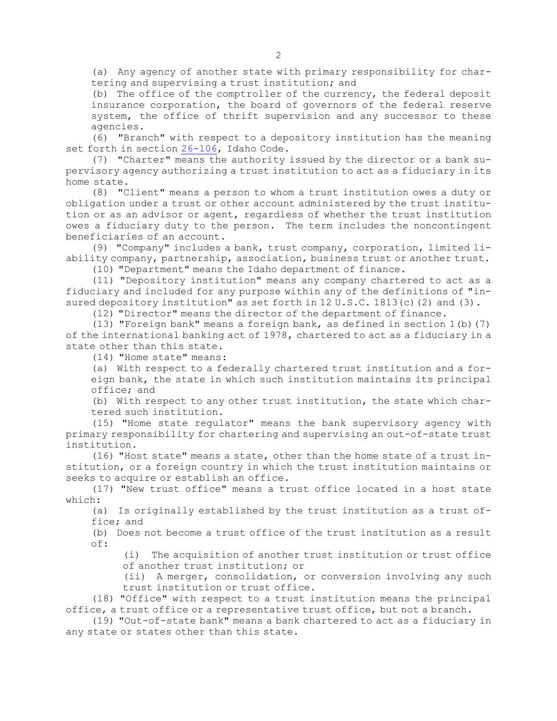(a) Any agency of another state with primary responsibility for chartering and supervising <sup>a</sup> trust institution; and

(b) The office of the comptroller of the currency, the federal deposit insurance corporation, the board of governors of the federal reserve system, the office of thrift supervision and any successor to these agencies.

(6) "Branch" with respect to <sup>a</sup> depository institution has the meaning set forth in section [26-106](https://legislature.idaho.gov/statutesrules/idstat/Title26/T26CH1/SECT26-106), Idaho Code.

(7) "Charter" means the authority issued by the director or <sup>a</sup> bank supervisory agency authorizing <sup>a</sup> trust institution to act as <sup>a</sup> fiduciary in its home state.

(8) "Client" means <sup>a</sup> person to whom <sup>a</sup> trust institution owes <sup>a</sup> duty or obligation under <sup>a</sup> trust or other account administered by the trust institution or as an advisor or agent, regardless of whether the trust institution owes <sup>a</sup> fiduciary duty to the person. The term includes the noncontingent beneficiaries of an account.

(9) "Company" includes <sup>a</sup> bank, trust company, corporation, limited liability company, partnership, association, business trust or another trust.

(10) "Department" means the Idaho department of finance.

(11) "Depository institution" means any company chartered to act as <sup>a</sup> fiduciary and included for any purpose within any of the definitions of "insured depository institution" as set forth in 12 U.S.C. 1813(c)(2) and (3).

(12) "Director" means the director of the department of finance.

(13) "Foreign bank" means <sup>a</sup> foreign bank, as defined in section 1(b)(7) of the international banking act of 1978, chartered to act as <sup>a</sup> fiduciary in <sup>a</sup> state other than this state.

(14) "Home state" means:

(a) With respect to <sup>a</sup> federally chartered trust institution and <sup>a</sup> foreign bank, the state in which such institution maintains its principal office; and

(b) With respect to any other trust institution, the state which chartered such institution.

(15) "Home state regulator" means the bank supervisory agency with primary responsibility for chartering and supervising an out-of-state trust institution.

(16) "Host state" means <sup>a</sup> state, other than the home state of <sup>a</sup> trust institution, or <sup>a</sup> foreign country in which the trust institution maintains or seeks to acquire or establish an office.

(17) "New trust office" means <sup>a</sup> trust office located in <sup>a</sup> host state which:

(a) Is originally established by the trust institution as <sup>a</sup> trust office; and

(b) Does not become <sup>a</sup> trust office of the trust institution as <sup>a</sup> result of:

(i) The acquisition of another trust institution or trust office of another trust institution; or

(ii) <sup>A</sup> merger, consolidation, or conversion involving any such trust institution or trust office.

(18) "Office" with respect to <sup>a</sup> trust institution means the principal office, <sup>a</sup> trust office or <sup>a</sup> representative trust office, but not <sup>a</sup> branch.

(19) "Out-of-state bank" means <sup>a</sup> bank chartered to act as <sup>a</sup> fiduciary in any state or states other than this state.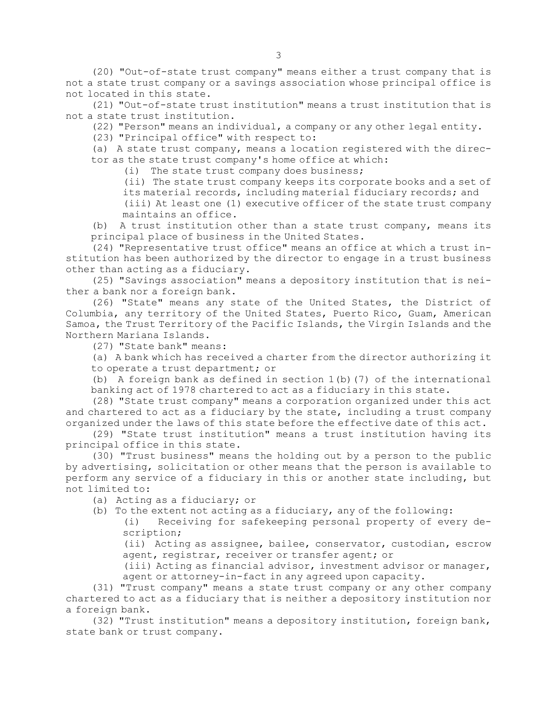(20) "Out-of-state trust company" means either <sup>a</sup> trust company that is not <sup>a</sup> state trust company or <sup>a</sup> savings association whose principal office is not located in this state.

(21) "Out-of-state trust institution" means <sup>a</sup> trust institution that is not <sup>a</sup> state trust institution.

(22) "Person" means an individual, <sup>a</sup> company or any other legal entity.

(23) "Principal office" with respect to:

(a) <sup>A</sup> state trust company, means <sup>a</sup> location registered with the director as the state trust company's home office at which:

(i) The state trust company does business;

(ii) The state trust company keeps its corporate books and <sup>a</sup> set of its material records, including material fiduciary records; and

(iii) At least one (1) executive officer of the state trust company maintains an office.

(b) <sup>A</sup> trust institution other than <sup>a</sup> state trust company, means its principal place of business in the United States.

(24) "Representative trust office" means an office at which <sup>a</sup> trust institution has been authorized by the director to engage in <sup>a</sup> trust business other than acting as <sup>a</sup> fiduciary.

(25) "Savings association" means <sup>a</sup> depository institution that is neither <sup>a</sup> bank nor <sup>a</sup> foreign bank.

(26) "State" means any state of the United States, the District of Columbia, any territory of the United States, Puerto Rico, Guam, American Samoa, the Trust Territory of the Pacific Islands, the Virgin Islands and the Northern Mariana Islands.

(27) "State bank" means:

(a) <sup>A</sup> bank which has received <sup>a</sup> charter from the director authorizing it to operate <sup>a</sup> trust department; or

(b) A foreign bank as defined in section  $1(b)$  (7) of the international banking act of 1978 chartered to act as <sup>a</sup> fiduciary in this state.

(28) "State trust company" means <sup>a</sup> corporation organized under this act and chartered to act as <sup>a</sup> fiduciary by the state, including <sup>a</sup> trust company organized under the laws of this state before the effective date of this act.

(29) "State trust institution" means <sup>a</sup> trust institution having its principal office in this state.

(30) "Trust business" means the holding out by <sup>a</sup> person to the public by advertising, solicitation or other means that the person is available to perform any service of <sup>a</sup> fiduciary in this or another state including, but not limited to:

(a) Acting as <sup>a</sup> fiduciary; or

- (b) To the extent not acting as <sup>a</sup> fiduciary, any of the following:
	- (i) Receiving for safekeeping personal property of every description;

(ii) Acting as assignee, bailee, conservator, custodian, escrow agent, registrar, receiver or transfer agent; or

(iii) Acting as financial advisor, investment advisor or manager, agent or attorney-in-fact in any agreed upon capacity.

(31) "Trust company" means <sup>a</sup> state trust company or any other company chartered to act as <sup>a</sup> fiduciary that is neither <sup>a</sup> depository institution nor <sup>a</sup> foreign bank.

(32) "Trust institution" means <sup>a</sup> depository institution, foreign bank, state bank or trust company.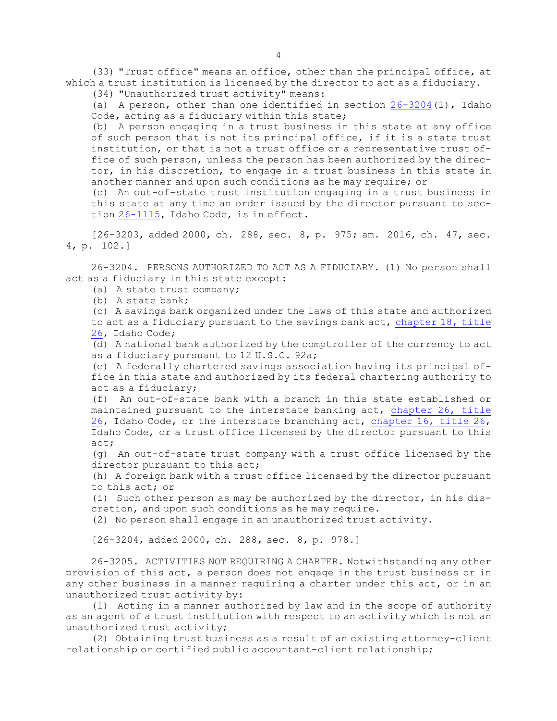(33) "Trust office" means an office, other than the principal office, at which <sup>a</sup> trust institution is licensed by the director to act as <sup>a</sup> fiduciary.

(34) "Unauthorized trust activity" means:

(a) <sup>A</sup> person, other than one identified in section [26-3204](https://legislature.idaho.gov/statutesrules/idstat/Title26/T26CH32/SECT26-3204)(1), Idaho Code, acting as a fiduciary within this state;

(b) <sup>A</sup> person engaging in <sup>a</sup> trust business in this state at any office of such person that is not its principal office, if it is <sup>a</sup> state trust institution, or that is not <sup>a</sup> trust office or <sup>a</sup> representative trust office of such person, unless the person has been authorized by the director, in his discretion, to engage in <sup>a</sup> trust business in this state in another manner and upon such conditions as he may require; or

(c) An out-of-state trust institution engaging in <sup>a</sup> trust business in this state at any time an order issued by the director pursuant to section [26-1115](https://legislature.idaho.gov/statutesrules/idstat/Title26/T26CH11/SECT26-1115), Idaho Code, is in effect.

[26-3203, added 2000, ch. 288, sec. 8, p. 975; am. 2016, ch. 47, sec. 4, p. 102.]

26-3204. PERSONS AUTHORIZED TO ACT AS A FIDUCIARY. (1) No person shall act as <sup>a</sup> fiduciary in this state except:

(a) A state trust company;

(b) A state bank;

(c) <sup>A</sup> savings bank organized under the laws of this state and authorized to act as <sup>a</sup> fiduciary pursuant to the savings bank act, [chapter](https://legislature.idaho.gov/statutesrules/idstat/Title26/T26CH18) 18, title [26](https://legislature.idaho.gov/statutesrules/idstat/Title26/T26CH18), Idaho Code;

(d) <sup>A</sup> national bank authorized by the comptroller of the currency to act as <sup>a</sup> fiduciary pursuant to 12 U.S.C. 92a;

(e) <sup>A</sup> federally chartered savings association having its principal office in this state and authorized by its federal chartering authority to act as <sup>a</sup> fiduciary;

(f) An out-of-state bank with <sup>a</sup> branch in this state established or maintained pursuant to the interstate banking act, [chapter](https://legislature.idaho.gov/statutesrules/idstat/Title26/T26CH26) 26, title [26](https://legislature.idaho.gov/statutesrules/idstat/Title26/T26CH26), Idaho Code, or the interstate branching act, [chapter](https://legislature.idaho.gov/statutesrules/idstat/Title26/T26CH16) 16, title 26, Idaho Code, or <sup>a</sup> trust office licensed by the director pursuant to this act;

(g) An out-of-state trust company with <sup>a</sup> trust office licensed by the director pursuant to this act;

(h) <sup>A</sup> foreign bank with <sup>a</sup> trust office licensed by the director pursuant to this act; or

(i) Such other person as may be authorized by the director, in his discretion, and upon such conditions as he may require.

(2) No person shall engage in an unauthorized trust activity.

[26-3204, added 2000, ch. 288, sec. 8, p. 978.]

26-3205. ACTIVITIES NOT REQUIRING <sup>A</sup> CHARTER. Notwithstanding any other provision of this act, <sup>a</sup> person does not engage in the trust business or in any other business in <sup>a</sup> manner requiring <sup>a</sup> charter under this act, or in an unauthorized trust activity by:

(1) Acting in <sup>a</sup> manner authorized by law and in the scope of authority as an agent of <sup>a</sup> trust institution with respect to an activity which is not an unauthorized trust activity;

(2) Obtaining trust business as <sup>a</sup> result of an existing attorney-client relationship or certified public accountant-client relationship;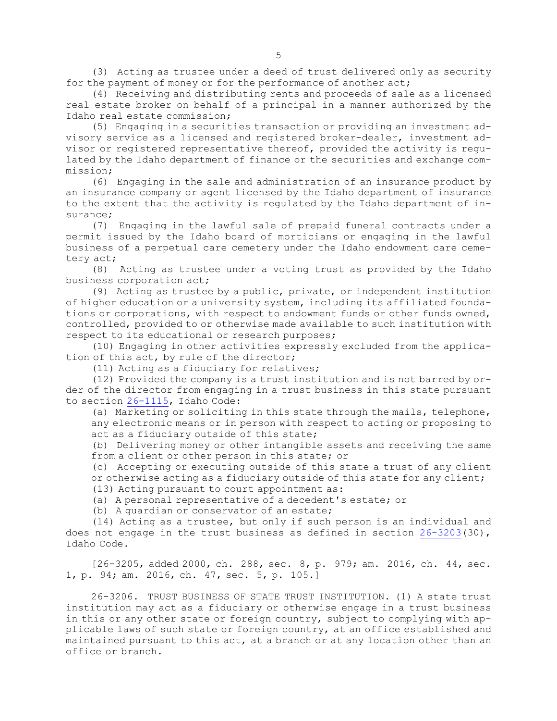(3) Acting as trustee under <sup>a</sup> deed of trust delivered only as security for the payment of money or for the performance of another act;

(4) Receiving and distributing rents and proceeds of sale as <sup>a</sup> licensed real estate broker on behalf of <sup>a</sup> principal in <sup>a</sup> manner authorized by the Idaho real estate commission;

(5) Engaging in <sup>a</sup> securities transaction or providing an investment advisory service as <sup>a</sup> licensed and registered broker-dealer, investment advisor or registered representative thereof, provided the activity is regulated by the Idaho department of finance or the securities and exchange commission;

(6) Engaging in the sale and administration of an insurance product by an insurance company or agent licensed by the Idaho department of insurance to the extent that the activity is regulated by the Idaho department of insurance;

(7) Engaging in the lawful sale of prepaid funeral contracts under <sup>a</sup> permit issued by the Idaho board of morticians or engaging in the lawful business of <sup>a</sup> perpetual care cemetery under the Idaho endowment care cemetery act;

(8) Acting as trustee under <sup>a</sup> voting trust as provided by the Idaho business corporation act;

(9) Acting as trustee by <sup>a</sup> public, private, or independent institution of higher education or <sup>a</sup> university system, including its affiliated foundations or corporations, with respect to endowment funds or other funds owned, controlled, provided to or otherwise made available to such institution with respect to its educational or research purposes;

(10) Engaging in other activities expressly excluded from the application of this act, by rule of the director;

(11) Acting as <sup>a</sup> fiduciary for relatives;

(12) Provided the company is <sup>a</sup> trust institution and is not barred by order of the director from engaging in <sup>a</sup> trust business in this state pursuant to section [26-1115](https://legislature.idaho.gov/statutesrules/idstat/Title26/T26CH11/SECT26-1115), Idaho Code:

(a) Marketing or soliciting in this state through the mails, telephone, any electronic means or in person with respect to acting or proposing to act as <sup>a</sup> fiduciary outside of this state;

(b) Delivering money or other intangible assets and receiving the same from <sup>a</sup> client or other person in this state; or

(c) Accepting or executing outside of this state <sup>a</sup> trust of any client or otherwise acting as <sup>a</sup> fiduciary outside of this state for any client;

(13) Acting pursuant to court appointment as:

(a) <sup>A</sup> personal representative of <sup>a</sup> decedent's estate; or

(b) <sup>A</sup> guardian or conservator of an estate;

(14) Acting as <sup>a</sup> trustee, but only if such person is an individual and does not engage in the trust business as defined in section  $26-3203(30)$  $26-3203(30)$ , Idaho Code.

[26-3205, added 2000, ch. 288, sec. 8, p. 979; am. 2016, ch. 44, sec. 1, p. 94; am. 2016, ch. 47, sec. 5, p. 105.]

26-3206. TRUST BUSINESS OF STATE TRUST INSTITUTION. (1) A state trust institution may act as <sup>a</sup> fiduciary or otherwise engage in <sup>a</sup> trust business in this or any other state or foreign country, subject to complying with applicable laws of such state or foreign country, at an office established and maintained pursuant to this act, at <sup>a</sup> branch or at any location other than an office or branch.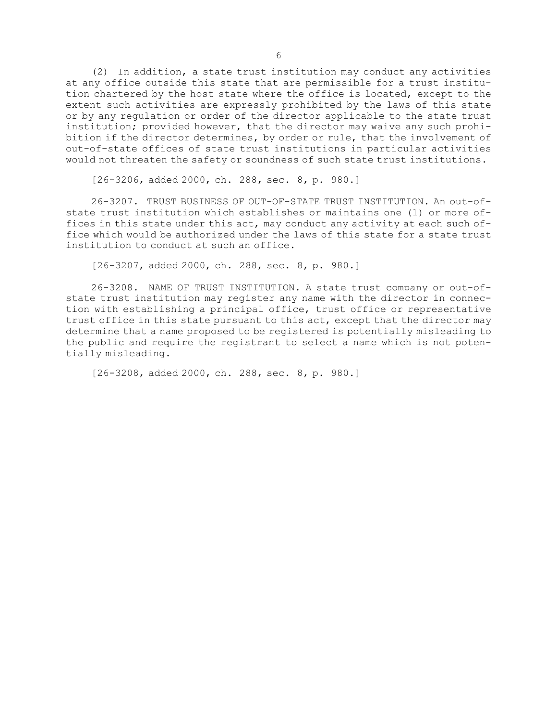(2) In addition, <sup>a</sup> state trust institution may conduct any activities at any office outside this state that are permissible for <sup>a</sup> trust institution chartered by the host state where the office is located, except to the extent such activities are expressly prohibited by the laws of this state or by any regulation or order of the director applicable to the state trust institution; provided however, that the director may waive any such prohibition if the director determines, by order or rule, that the involvement of out-of-state offices of state trust institutions in particular activities would not threaten the safety or soundness of such state trust institutions.

[26-3206, added 2000, ch. 288, sec. 8, p. 980.]

26-3207. TRUST BUSINESS OF OUT-OF-STATE TRUST INSTITUTION. An out-ofstate trust institution which establishes or maintains one (1) or more offices in this state under this act, may conduct any activity at each such office which would be authorized under the laws of this state for <sup>a</sup> state trust institution to conduct at such an office.

[26-3207, added 2000, ch. 288, sec. 8, p. 980.]

26-3208. NAME OF TRUST INSTITUTION. A state trust company or out-ofstate trust institution may register any name with the director in connection with establishing <sup>a</sup> principal office, trust office or representative trust office in this state pursuant to this act, except that the director may determine that <sup>a</sup> name proposed to be registered is potentially misleading to the public and require the registrant to select <sup>a</sup> name which is not potentially misleading.

[26-3208, added 2000, ch. 288, sec. 8, p. 980.]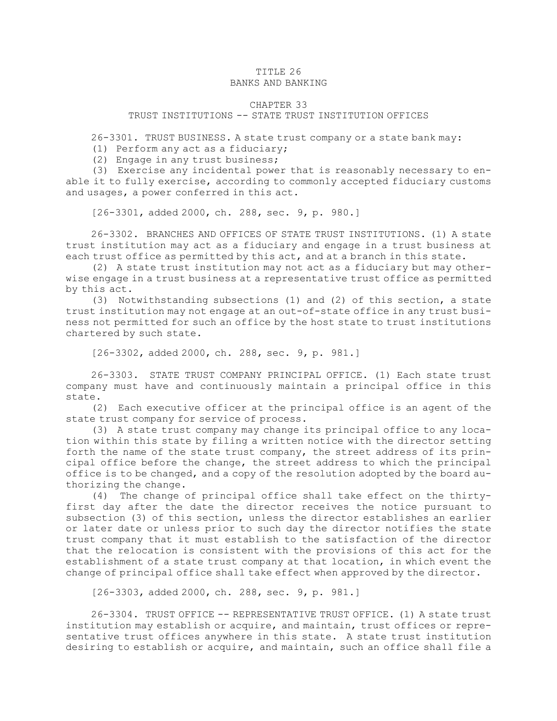### TITLE 26 BANKS AND BANKING

#### CHAPTER 33

#### TRUST INSTITUTIONS -- STATE TRUST INSTITUTION OFFICES

26-3301. TRUST BUSINESS. A state trust company or <sup>a</sup> state bank may:

- (1) Perform any act as <sup>a</sup> fiduciary;
- (2) Engage in any trust business;

(3) Exercise any incidental power that is reasonably necessary to enable it to fully exercise, according to commonly accepted fiduciary customs and usages, <sup>a</sup> power conferred in this act.

[26-3301, added 2000, ch. 288, sec. 9, p. 980.]

26-3302. BRANCHES AND OFFICES OF STATE TRUST INSTITUTIONS. (1) A state trust institution may act as <sup>a</sup> fiduciary and engage in <sup>a</sup> trust business at each trust office as permitted by this act, and at <sup>a</sup> branch in this state.

(2) <sup>A</sup> state trust institution may not act as <sup>a</sup> fiduciary but may otherwise engage in <sup>a</sup> trust business at <sup>a</sup> representative trust office as permitted by this act.

(3) Notwithstanding subsections (1) and (2) of this section, <sup>a</sup> state trust institution may not engage at an out-of-state office in any trust business not permitted for such an office by the host state to trust institutions chartered by such state.

[26-3302, added 2000, ch. 288, sec. 9, p. 981.]

26-3303. STATE TRUST COMPANY PRINCIPAL OFFICE. (1) Each state trust company must have and continuously maintain <sup>a</sup> principal office in this state.

(2) Each executive officer at the principal office is an agent of the state trust company for service of process.

(3) <sup>A</sup> state trust company may change its principal office to any location within this state by filing <sup>a</sup> written notice with the director setting forth the name of the state trust company, the street address of its principal office before the change, the street address to which the principal office is to be changed, and <sup>a</sup> copy of the resolution adopted by the board authorizing the change.

(4) The change of principal office shall take effect on the thirtyfirst day after the date the director receives the notice pursuant to subsection (3) of this section, unless the director establishes an earlier or later date or unless prior to such day the director notifies the state trust company that it must establish to the satisfaction of the director that the relocation is consistent with the provisions of this act for the establishment of <sup>a</sup> state trust company at that location, in which event the change of principal office shall take effect when approved by the director.

[26-3303, added 2000, ch. 288, sec. 9, p. 981.]

26-3304. TRUST OFFICE -- REPRESENTATIVE TRUST OFFICE. (1) A state trust institution may establish or acquire, and maintain, trust offices or representative trust offices anywhere in this state. <sup>A</sup> state trust institution desiring to establish or acquire, and maintain, such an office shall file <sup>a</sup>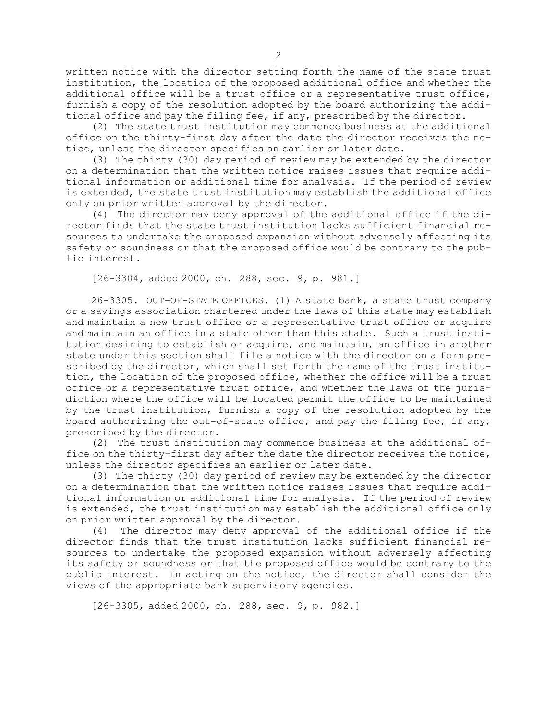written notice with the director setting forth the name of the state trust institution, the location of the proposed additional office and whether the additional office will be <sup>a</sup> trust office or <sup>a</sup> representative trust office, furnish <sup>a</sup> copy of the resolution adopted by the board authorizing the additional office and pay the filing fee, if any, prescribed by the director.

(2) The state trust institution may commence business at the additional office on the thirty-first day after the date the director receives the notice, unless the director specifies an earlier or later date.

(3) The thirty (30) day period of review may be extended by the director on <sup>a</sup> determination that the written notice raises issues that require additional information or additional time for analysis. If the period of review is extended, the state trust institution may establish the additional office only on prior written approval by the director.

(4) The director may deny approval of the additional office if the director finds that the state trust institution lacks sufficient financial resources to undertake the proposed expansion without adversely affecting its safety or soundness or that the proposed office would be contrary to the public interest.

[26-3304, added 2000, ch. 288, sec. 9, p. 981.]

26-3305. OUT-OF-STATE OFFICES. (1) A state bank, <sup>a</sup> state trust company or <sup>a</sup> savings association chartered under the laws of this state may establish and maintain <sup>a</sup> new trust office or <sup>a</sup> representative trust office or acquire and maintain an office in <sup>a</sup> state other than this state. Such <sup>a</sup> trust institution desiring to establish or acquire, and maintain, an office in another state under this section shall file <sup>a</sup> notice with the director on <sup>a</sup> form prescribed by the director, which shall set forth the name of the trust institution, the location of the proposed office, whether the office will be <sup>a</sup> trust office or <sup>a</sup> representative trust office, and whether the laws of the jurisdiction where the office will be located permit the office to be maintained by the trust institution, furnish <sup>a</sup> copy of the resolution adopted by the board authorizing the out-of-state office, and pay the filing fee, if any, prescribed by the director.

(2) The trust institution may commence business at the additional office on the thirty-first day after the date the director receives the notice, unless the director specifies an earlier or later date.

(3) The thirty (30) day period of review may be extended by the director on <sup>a</sup> determination that the written notice raises issues that require additional information or additional time for analysis. If the period of review is extended, the trust institution may establish the additional office only on prior written approval by the director.

(4) The director may deny approval of the additional office if the director finds that the trust institution lacks sufficient financial resources to undertake the proposed expansion without adversely affecting its safety or soundness or that the proposed office would be contrary to the public interest. In acting on the notice, the director shall consider the views of the appropriate bank supervisory agencies.

[26-3305, added 2000, ch. 288, sec. 9, p. 982.]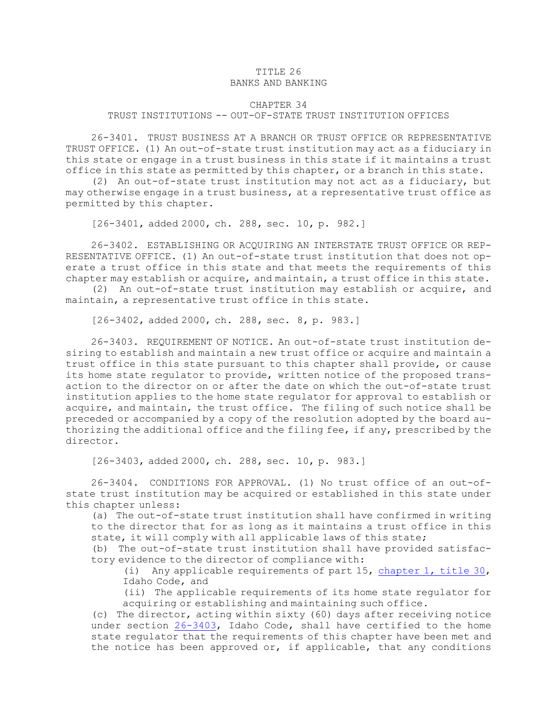#### TITLE 26 BANKS AND BANKING

#### CHAPTER 34

## TRUST INSTITUTIONS -- OUT-OF-STATE TRUST INSTITUTION OFFICES

26-3401. TRUST BUSINESS AT A BRANCH OR TRUST OFFICE OR REPRESENTATIVE TRUST OFFICE. (1) An out-of-state trust institution may act as <sup>a</sup> fiduciary in this state or engage in <sup>a</sup> trust business in this state if it maintains <sup>a</sup> trust office in this state as permitted by this chapter, or <sup>a</sup> branch in this state.

(2) An out-of-state trust institution may not act as <sup>a</sup> fiduciary, but may otherwise engage in <sup>a</sup> trust business, at <sup>a</sup> representative trust office as permitted by this chapter.

[26-3401, added 2000, ch. 288, sec. 10, p. 982.]

26-3402. ESTABLISHING OR ACQUIRING AN INTERSTATE TRUST OFFICE OR REP-RESENTATIVE OFFICE. (1) An out-of-state trust institution that does not operate <sup>a</sup> trust office in this state and that meets the requirements of this chapter may establish or acquire, and maintain, <sup>a</sup> trust office in this state.

(2) An out-of-state trust institution may establish or acquire, and maintain, <sup>a</sup> representative trust office in this state.

[26-3402, added 2000, ch. 288, sec. 8, p. 983.]

26-3403. REQUIREMENT OF NOTICE. An out-of-state trust institution desiring to establish and maintain <sup>a</sup> new trust office or acquire and maintain <sup>a</sup> trust office in this state pursuant to this chapter shall provide, or cause its home state regulator to provide, written notice of the proposed transaction to the director on or after the date on which the out-of-state trust institution applies to the home state regulator for approval to establish or acquire, and maintain, the trust office. The filing of such notice shall be preceded or accompanied by <sup>a</sup> copy of the resolution adopted by the board authorizing the additional office and the filing fee, if any, prescribed by the director.

[26-3403, added 2000, ch. 288, sec. 10, p. 983.]

26-3404. CONDITIONS FOR APPROVAL. (1) No trust office of an out-ofstate trust institution may be acquired or established in this state under this chapter unless:

(a) The out-of-state trust institution shall have confirmed in writing to the director that for as long as it maintains <sup>a</sup> trust office in this state, it will comply with all applicable laws of this state;

(b) The out-of-state trust institution shall have provided satisfactory evidence to the director of compliance with:

(i) Any applicable requirements of part 15, [chapter](https://legislature.idaho.gov/statutesrules/idstat/Title30/T30CH1) 1, title 30, Idaho Code, and

(ii) The applicable requirements of its home state regulator for acquiring or establishing and maintaining such office.

(c) The director, acting within sixty (60) days after receiving notice under section [26-3403](https://legislature.idaho.gov/statutesrules/idstat/Title26/T26CH34/SECT26-3403), Idaho Code, shall have certified to the home state regulator that the requirements of this chapter have been met and the notice has been approved or, if applicable, that any conditions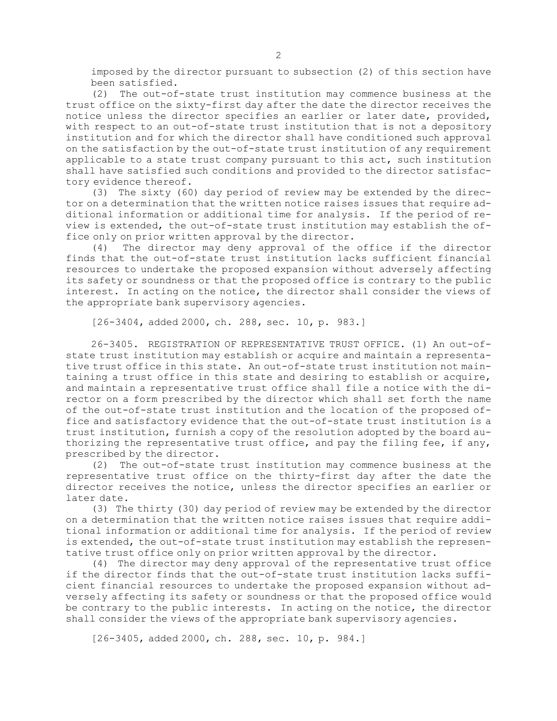imposed by the director pursuant to subsection (2) of this section have been satisfied.

(2) The out-of-state trust institution may commence business at the trust office on the sixty-first day after the date the director receives the notice unless the director specifies an earlier or later date, provided, with respect to an out-of-state trust institution that is not <sup>a</sup> depository institution and for which the director shall have conditioned such approval on the satisfaction by the out-of-state trust institution of any requirement applicable to <sup>a</sup> state trust company pursuant to this act, such institution shall have satisfied such conditions and provided to the director satisfactory evidence thereof.

(3) The sixty (60) day period of review may be extended by the director on <sup>a</sup> determination that the written notice raises issues that require additional information or additional time for analysis. If the period of review is extended, the out-of-state trust institution may establish the office only on prior written approval by the director.

(4) The director may deny approval of the office if the director finds that the out-of-state trust institution lacks sufficient financial resources to undertake the proposed expansion without adversely affecting its safety or soundness or that the proposed office is contrary to the public interest. In acting on the notice, the director shall consider the views of the appropriate bank supervisory agencies.

[26-3404, added 2000, ch. 288, sec. 10, p. 983.]

26-3405. REGISTRATION OF REPRESENTATIVE TRUST OFFICE. (1) An out-ofstate trust institution may establish or acquire and maintain <sup>a</sup> representative trust office in this state. An out-of-state trust institution not maintaining <sup>a</sup> trust office in this state and desiring to establish or acquire, and maintain <sup>a</sup> representative trust office shall file <sup>a</sup> notice with the director on <sup>a</sup> form prescribed by the director which shall set forth the name of the out-of-state trust institution and the location of the proposed office and satisfactory evidence that the out-of-state trust institution is <sup>a</sup> trust institution, furnish <sup>a</sup> copy of the resolution adopted by the board authorizing the representative trust office, and pay the filing fee, if any, prescribed by the director.

(2) The out-of-state trust institution may commence business at the representative trust office on the thirty-first day after the date the director receives the notice, unless the director specifies an earlier or later date.

(3) The thirty (30) day period of review may be extended by the director on <sup>a</sup> determination that the written notice raises issues that require additional information or additional time for analysis. If the period of review is extended, the out-of-state trust institution may establish the representative trust office only on prior written approval by the director.

(4) The director may deny approval of the representative trust office if the director finds that the out-of-state trust institution lacks sufficient financial resources to undertake the proposed expansion without adversely affecting its safety or soundness or that the proposed office would be contrary to the public interests. In acting on the notice, the director shall consider the views of the appropriate bank supervisory agencies.

[26-3405, added 2000, ch. 288, sec. 10, p. 984.]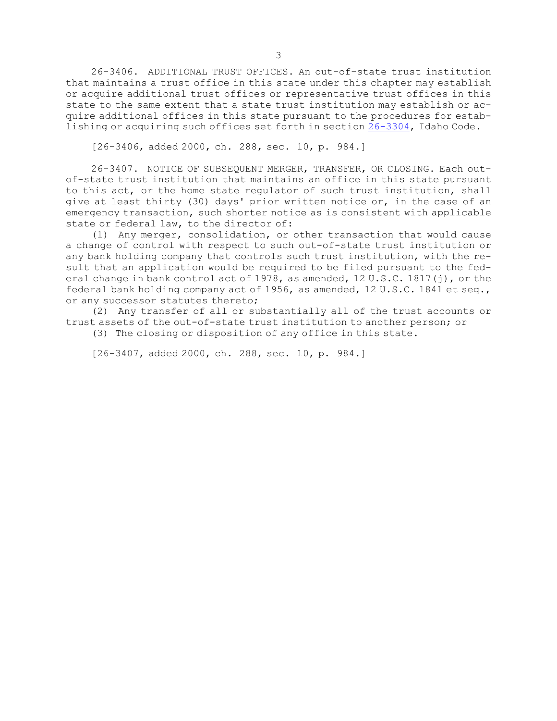26-3406. ADDITIONAL TRUST OFFICES. An out-of-state trust institution that maintains <sup>a</sup> trust office in this state under this chapter may establish or acquire additional trust offices or representative trust offices in this state to the same extent that <sup>a</sup> state trust institution may establish or acquire additional offices in this state pursuant to the procedures for establishing or acquiring such offices set forth in section [26-3304](https://legislature.idaho.gov/statutesrules/idstat/Title26/T26CH33/SECT26-3304), Idaho Code.

[26-3406, added 2000, ch. 288, sec. 10, p. 984.]

26-3407. NOTICE OF SUBSEQUENT MERGER, TRANSFER, OR CLOSING. Each outof-state trust institution that maintains an office in this state pursuant to this act, or the home state regulator of such trust institution, shall give at least thirty (30) days' prior written notice or, in the case of an emergency transaction, such shorter notice as is consistent with applicable state or federal law, to the director of:

(1) Any merger, consolidation, or other transaction that would cause <sup>a</sup> change of control with respect to such out-of-state trust institution or any bank holding company that controls such trust institution, with the result that an application would be required to be filed pursuant to the federal change in bank control act of 1978, as amended, 12 U.S.C. 1817(j), or the federal bank holding company act of 1956, as amended, 12 U.S.C. 1841 et seq., or any successor statutes thereto;

(2) Any transfer of all or substantially all of the trust accounts or trust assets of the out-of-state trust institution to another person; or

(3) The closing or disposition of any office in this state.

[26-3407, added 2000, ch. 288, sec. 10, p. 984.]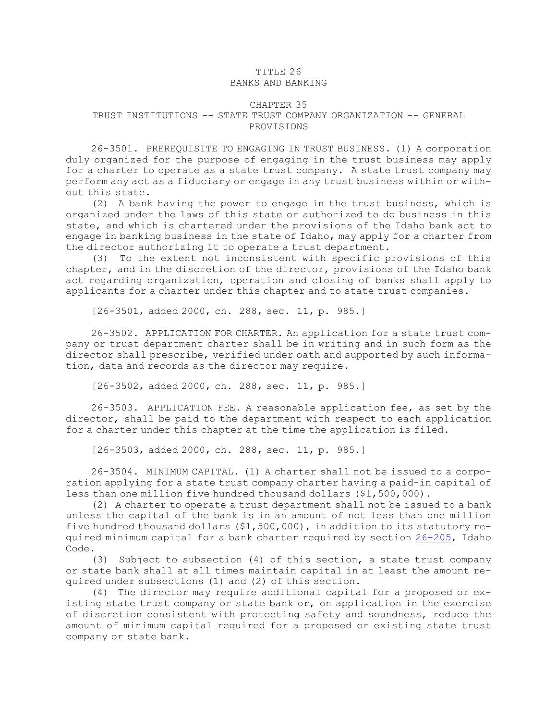# TITLE 26

## BANKS AND BANKING

#### CHAPTER 35

#### TRUST INSTITUTIONS -- STATE TRUST COMPANY ORGANIZATION -- GENERAL PROVISIONS

26-3501. PREREQUISITE TO ENGAGING IN TRUST BUSINESS. (1) <sup>A</sup> corporation duly organized for the purpose of engaging in the trust business may apply for <sup>a</sup> charter to operate as <sup>a</sup> state trust company. A state trust company may perform any act as <sup>a</sup> fiduciary or engage in any trust business within or without this state.

(2) <sup>A</sup> bank having the power to engage in the trust business, which is organized under the laws of this state or authorized to do business in this state, and which is chartered under the provisions of the Idaho bank act to engage in banking business in the state of Idaho, may apply for <sup>a</sup> charter from the director authorizing it to operate <sup>a</sup> trust department.

(3) To the extent not inconsistent with specific provisions of this chapter, and in the discretion of the director, provisions of the Idaho bank act regarding organization, operation and closing of banks shall apply to applicants for <sup>a</sup> charter under this chapter and to state trust companies.

[26-3501, added 2000, ch. 288, sec. 11, p. 985.]

26-3502. APPLICATION FOR CHARTER. An application for <sup>a</sup> state trust company or trust department charter shall be in writing and in such form as the director shall prescribe, verified under oath and supported by such information, data and records as the director may require.

[26-3502, added 2000, ch. 288, sec. 11, p. 985.]

26-3503. APPLICATION FEE. <sup>A</sup> reasonable application fee, as set by the director, shall be paid to the department with respect to each application for <sup>a</sup> charter under this chapter at the time the application is filed.

[26-3503, added 2000, ch. 288, sec. 11, p. 985.]

26-3504. MINIMUM CAPITAL. (1) <sup>A</sup> charter shall not be issued to <sup>a</sup> corporation applying for <sup>a</sup> state trust company charter having <sup>a</sup> paid-in capital of less than one million five hundred thousand dollars (\$1,500,000).

(2) <sup>A</sup> charter to operate <sup>a</sup> trust department shall not be issued to <sup>a</sup> bank unless the capital of the bank is in an amount of not less than one million five hundred thousand dollars (\$1,500,000), in addition to its statutory required minimum capital for <sup>a</sup> bank charter required by section [26-205](https://legislature.idaho.gov/statutesrules/idstat/Title26/T26CH2/SECT26-205), Idaho Code.

(3) Subject to subsection (4) of this section, <sup>a</sup> state trust company or state bank shall at all times maintain capital in at least the amount required under subsections (1) and (2) of this section.

(4) The director may require additional capital for <sup>a</sup> proposed or existing state trust company or state bank or, on application in the exercise of discretion consistent with protecting safety and soundness, reduce the amount of minimum capital required for <sup>a</sup> proposed or existing state trust company or state bank.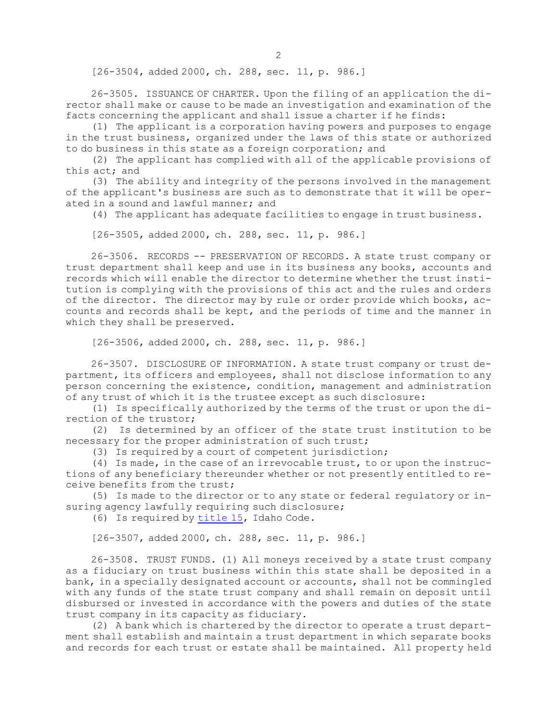[26-3504, added 2000, ch. 288, sec. 11, p. 986.]

26-3505. ISSUANCE OF CHARTER. Upon the filing of an application the director shall make or cause to be made an investigation and examination of the facts concerning the applicant and shall issue <sup>a</sup> charter if he finds:

(1) The applicant is <sup>a</sup> corporation having powers and purposes to engage in the trust business, organized under the laws of this state or authorized to do business in this state as <sup>a</sup> foreign corporation; and

(2) The applicant has complied with all of the applicable provisions of this act; and

(3) The ability and integrity of the persons involved in the management of the applicant's business are such as to demonstrate that it will be operated in <sup>a</sup> sound and lawful manner; and

(4) The applicant has adequate facilities to engage in trust business.

[26-3505, added 2000, ch. 288, sec. 11, p. 986.]

26-3506. RECORDS -- PRESERVATION OF RECORDS. A state trust company or trust department shall keep and use in its business any books, accounts and records which will enable the director to determine whether the trust institution is complying with the provisions of this act and the rules and orders of the director. The director may by rule or order provide which books, accounts and records shall be kept, and the periods of time and the manner in which they shall be preserved.

[26-3506, added 2000, ch. 288, sec. 11, p. 986.]

26-3507. DISCLOSURE OF INFORMATION. A state trust company or trust department, its officers and employees, shall not disclose information to any person concerning the existence, condition, management and administration of any trust of which it is the trustee except as such disclosure:

(1) Is specifically authorized by the terms of the trust or upon the direction of the trustor;

(2) Is determined by an officer of the state trust institution to be necessary for the proper administration of such trust;

(3) Is required by <sup>a</sup> court of competent jurisdiction;

(4) Is made, in the case of an irrevocable trust, to or upon the instructions of any beneficiary thereunder whether or not presently entitled to receive benefits from the trust;

(5) Is made to the director or to any state or federal regulatory or insuring agency lawfully requiring such disclosure;

(6) Is required by [title](https://legislature.idaho.gov/statutesrules/idstat/Title15/T15) 15, Idaho Code.

[26-3507, added 2000, ch. 288, sec. 11, p. 986.]

26-3508. TRUST FUNDS. (1) All moneys received by <sup>a</sup> state trust company as <sup>a</sup> fiduciary on trust business within this state shall be deposited in <sup>a</sup> bank, in <sup>a</sup> specially designated account or accounts, shall not be commingled with any funds of the state trust company and shall remain on deposit until disbursed or invested in accordance with the powers and duties of the state trust company in its capacity as fiduciary.

(2) <sup>A</sup> bank which is chartered by the director to operate <sup>a</sup> trust department shall establish and maintain <sup>a</sup> trust department in which separate books and records for each trust or estate shall be maintained. All property held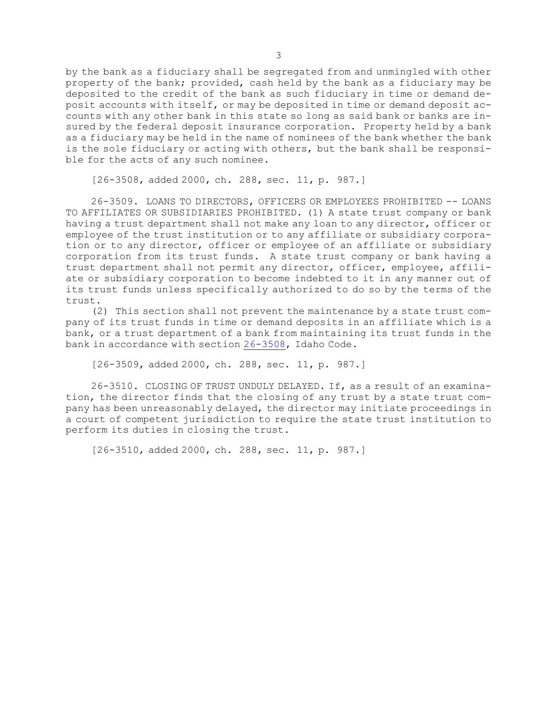by the bank as <sup>a</sup> fiduciary shall be segregated from and unmingled with other property of the bank; provided, cash held by the bank as <sup>a</sup> fiduciary may be deposited to the credit of the bank as such fiduciary in time or demand deposit accounts with itself, or may be deposited in time or demand deposit accounts with any other bank in this state so long as said bank or banks are insured by the federal deposit insurance corporation. Property held by <sup>a</sup> bank as <sup>a</sup> fiduciary may be held in the name of nominees of the bank whether the bank is the sole fiduciary or acting with others, but the bank shall be responsible for the acts of any such nominee.

[26-3508, added 2000, ch. 288, sec. 11, p. 987.]

26-3509. LOANS TO DIRECTORS, OFFICERS OR EMPLOYEES PROHIBITED -- LOANS TO AFFILIATES OR SUBSIDIARIES PROHIBITED. (1) A state trust company or bank having <sup>a</sup> trust department shall not make any loan to any director, officer or employee of the trust institution or to any affiliate or subsidiary corporation or to any director, officer or employee of an affiliate or subsidiary corporation from its trust funds. <sup>A</sup> state trust company or bank having <sup>a</sup> trust department shall not permit any director, officer, employee, affiliate or subsidiary corporation to become indebted to it in any manner out of its trust funds unless specifically authorized to do so by the terms of the trust.

(2) This section shall not prevent the maintenance by <sup>a</sup> state trust company of its trust funds in time or demand deposits in an affiliate which is <sup>a</sup> bank, or <sup>a</sup> trust department of <sup>a</sup> bank from maintaining its trust funds in the bank in accordance with section [26-3508](https://legislature.idaho.gov/statutesrules/idstat/Title26/T26CH35/SECT26-3508), Idaho Code.

[26-3509, added 2000, ch. 288, sec. 11, p. 987.]

26-3510. CLOSING OF TRUST UNDULY DELAYED. If, as <sup>a</sup> result of an examination, the director finds that the closing of any trust by <sup>a</sup> state trust company has been unreasonably delayed, the director may initiate proceedings in <sup>a</sup> court of competent jurisdiction to require the state trust institution to perform its duties in closing the trust.

[26-3510, added 2000, ch. 288, sec. 11, p. 987.]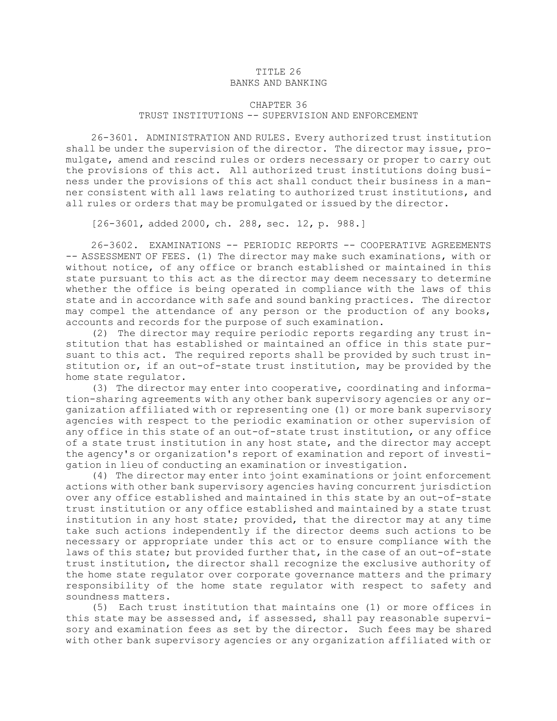#### TITLE 26 BANKS AND BANKING

## CHAPTER 36 TRUST INSTITUTIONS -- SUPERVISION AND ENFORCEMENT

26-3601. ADMINISTRATION AND RULES. Every authorized trust institution shall be under the supervision of the director. The director may issue, promulgate, amend and rescind rules or orders necessary or proper to carry out the provisions of this act. All authorized trust institutions doing business under the provisions of this act shall conduct their business in <sup>a</sup> manner consistent with all laws relating to authorized trust institutions, and all rules or orders that may be promulgated or issued by the director.

[26-3601, added 2000, ch. 288, sec. 12, p. 988.]

26-3602. EXAMINATIONS -- PERIODIC REPORTS -- COOPERATIVE AGREEMENTS -- ASSESSMENT OF FEES. (1) The director may make such examinations, with or without notice, of any office or branch established or maintained in this state pursuant to this act as the director may deem necessary to determine whether the office is being operated in compliance with the laws of this state and in accordance with safe and sound banking practices. The director may compel the attendance of any person or the production of any books, accounts and records for the purpose of such examination.

(2) The director may require periodic reports regarding any trust institution that has established or maintained an office in this state pursuant to this act. The required reports shall be provided by such trust institution or, if an out-of-state trust institution, may be provided by the home state regulator.

(3) The director may enter into cooperative, coordinating and information-sharing agreements with any other bank supervisory agencies or any organization affiliated with or representing one (1) or more bank supervisory agencies with respect to the periodic examination or other supervision of any office in this state of an out-of-state trust institution, or any office of <sup>a</sup> state trust institution in any host state, and the director may accept the agency's or organization's report of examination and report of investigation in lieu of conducting an examination or investigation.

(4) The director may enter into joint examinations or joint enforcement actions with other bank supervisory agencies having concurrent jurisdiction over any office established and maintained in this state by an out-of-state trust institution or any office established and maintained by <sup>a</sup> state trust institution in any host state; provided, that the director may at any time take such actions independently if the director deems such actions to be necessary or appropriate under this act or to ensure compliance with the laws of this state; but provided further that, in the case of an out-of-state trust institution, the director shall recognize the exclusive authority of the home state regulator over corporate governance matters and the primary responsibility of the home state regulator with respect to safety and soundness matters.

(5) Each trust institution that maintains one (1) or more offices in this state may be assessed and, if assessed, shall pay reasonable supervisory and examination fees as set by the director. Such fees may be shared with other bank supervisory agencies or any organization affiliated with or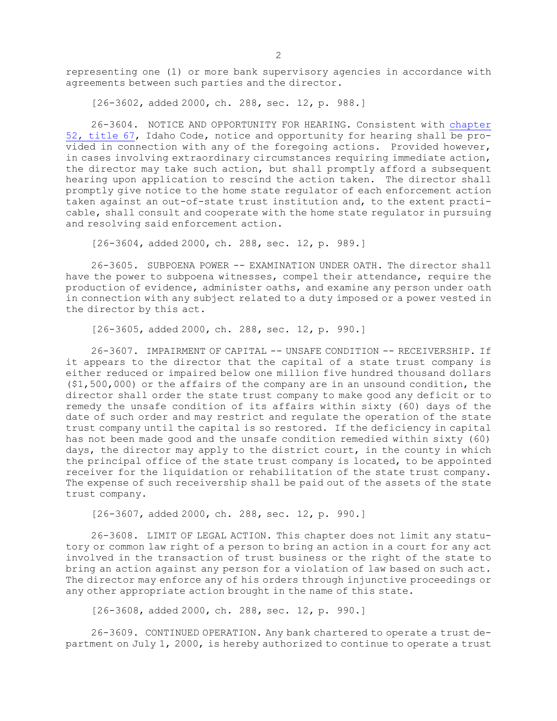representing one (1) or more bank supervisory agencies in accordance with agreements between such parties and the director.

[26-3602, added 2000, ch. 288, sec. 12, p. 988.]

26-3604. NOTICE AND OPPORTUNITY FOR HEARING. Consistent with [chapter](https://legislature.idaho.gov/statutesrules/idstat/Title67/T67CH52) 52, [title](https://legislature.idaho.gov/statutesrules/idstat/Title67/T67CH52) 67, Idaho Code, notice and opportunity for hearing shall be provided in connection with any of the foregoing actions. Provided however, in cases involving extraordinary circumstances requiring immediate action, the director may take such action, but shall promptly afford <sup>a</sup> subsequent hearing upon application to rescind the action taken. The director shall promptly give notice to the home state regulator of each enforcement action taken against an out-of-state trust institution and, to the extent practicable, shall consult and cooperate with the home state regulator in pursuing and resolving said enforcement action.

[26-3604, added 2000, ch. 288, sec. 12, p. 989.]

26-3605. SUBPOENA POWER -- EXAMINATION UNDER OATH. The director shall have the power to subpoena witnesses, compel their attendance, require the production of evidence, administer oaths, and examine any person under oath in connection with any subject related to <sup>a</sup> duty imposed or <sup>a</sup> power vested in the director by this act.

[26-3605, added 2000, ch. 288, sec. 12, p. 990.]

26-3607. IMPAIRMENT OF CAPITAL -- UNSAFE CONDITION -- RECEIVERSHIP. If it appears to the director that the capital of <sup>a</sup> state trust company is either reduced or impaired below one million five hundred thousand dollars (\$1,500,000) or the affairs of the company are in an unsound condition, the director shall order the state trust company to make good any deficit or to remedy the unsafe condition of its affairs within sixty (60) days of the date of such order and may restrict and regulate the operation of the state trust company until the capital is so restored. If the deficiency in capital has not been made good and the unsafe condition remedied within sixty (60) days, the director may apply to the district court, in the county in which the principal office of the state trust company is located, to be appointed receiver for the liquidation or rehabilitation of the state trust company. The expense of such receivership shall be paid out of the assets of the state trust company.

[26-3607, added 2000, ch. 288, sec. 12, p. 990.]

26-3608. LIMIT OF LEGAL ACTION. This chapter does not limit any statutory or common law right of <sup>a</sup> person to bring an action in <sup>a</sup> court for any act involved in the transaction of trust business or the right of the state to bring an action against any person for <sup>a</sup> violation of law based on such act. The director may enforce any of his orders through injunctive proceedings or any other appropriate action brought in the name of this state.

[26-3608, added 2000, ch. 288, sec. 12, p. 990.]

26-3609. CONTINUED OPERATION. Any bank chartered to operate <sup>a</sup> trust department on July 1, 2000, is hereby authorized to continue to operate <sup>a</sup> trust